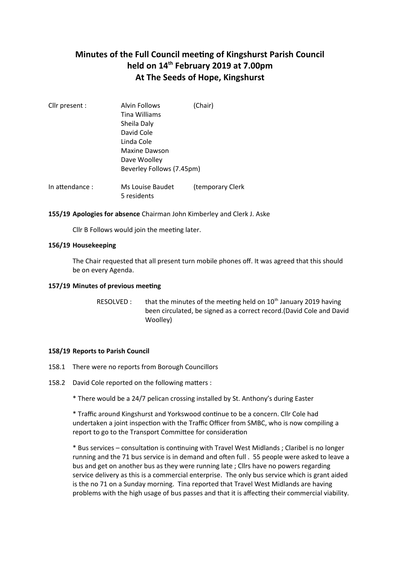# **Minutes of the Full Council meeting of Kingshurst Parish Council held on 14th February 2019 at 7.00pm At The Seeds of Hope, Kingshurst**

| <b>Alvin Follows</b>      | (Chair)          |
|---------------------------|------------------|
| Tina Williams             |                  |
| Sheila Daly               |                  |
| David Cole                |                  |
| Linda Cole                |                  |
| Maxine Dawson             |                  |
| Dave Woolley              |                  |
| Beverley Follows (7.45pm) |                  |
| Ms Louise Baudet          | (temporary Clerk |
|                           | 5 residents      |

## **155/19 Apologies for absence** Chairman John Kimberley and Clerk J. Aske

Cllr B Follows would join the meeting later.

## **156/19 Housekeeping**

The Chair requested that all present turn mobile phones off. It was agreed that this should be on every Agenda.

## **157/19 Minutes of previous meeting**

RESOLVED : that the minutes of the meeting held on  $10<sup>th</sup>$  January 2019 having been circulated, be signed as a correct record.(David Cole and David Woolley)

#### **158/19 Reports to Parish Council**

- 158.1 There were no reports from Borough Councillors
- 158.2 David Cole reported on the following matters :
	- \* There would be a 24/7 pelican crossing installed by St. Anthony's during Easter

\* Traffic around Kingshurst and Yorkswood continue to be a concern. Cllr Cole had undertaken a joint inspection with the Traffic Officer from SMBC, who is now compiling a report to go to the Transport Committee for consideration

\* Bus services – consultation is continuing with Travel West Midlands ; Claribel is no longer running and the 71 bus service is in demand and often full . 55 people were asked to leave a bus and get on another bus as they were running late ; Cllrs have no powers regarding service delivery as this is a commercial enterprise. The only bus service which is grant aided is the no 71 on a Sunday morning. Tina reported that Travel West Midlands are having problems with the high usage of bus passes and that it is affecting their commercial viability.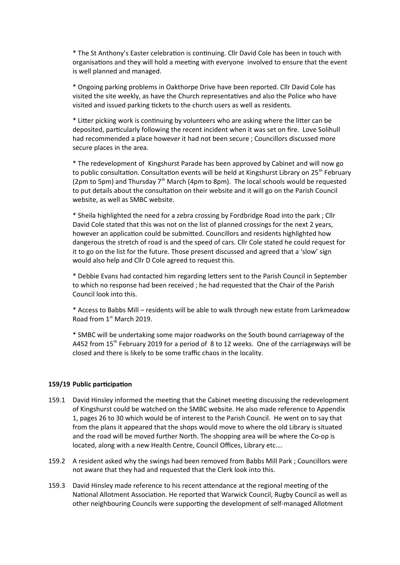\* The St Anthony's Easter celebration is continuing. Cllr David Cole has been in touch with organisations and they will hold a meeting with everyone involved to ensure that the event is well planned and managed.

\* Ongoing parking problems in Oakthorpe Drive have been reported. Cllr David Cole has visited the site weekly, as have the Church representatives and also the Police who have visited and issued parking tickets to the church users as well as residents.

\* Litter picking work is continuing by volunteers who are asking where the litter can be deposited, particularly following the recent incident when it was set on fire. Love Solihull had recommended a place however it had not been secure ; Councillors discussed more secure places in the area.

\* The redevelopment of Kingshurst Parade has been approved by Cabinet and will now go to public consultation. Consultation events will be held at Kingshurst Library on 25<sup>th</sup> February (2pm to 5pm) and Thursday  $7<sup>th</sup>$  March (4pm to 8pm). The local schools would be requested to put details about the consultation on their website and it will go on the Parish Council website, as well as SMBC website.

\* Sheila highlighted the need for a zebra crossing by Fordbridge Road into the park ; Cllr David Cole stated that this was not on the list of planned crossings for the next 2 years, however an application could be submitted. Councillors and residents highlighted how dangerous the stretch of road is and the speed of cars. Cllr Cole stated he could request for it to go on the list for the future. Those present discussed and agreed that a 'slow' sign would also help and Cllr D Cole agreed to request this.

\* Debbie Evans had contacted him regarding letters sent to the Parish Council in September to which no response had been received ; he had requested that the Chair of the Parish Council look into this.

\* Access to Babbs Mill – residents will be able to walk through new estate from Larkmeadow Road from 1<sup>st</sup> March 2019.

\* SMBC will be undertaking some major roadworks on the South bound carriageway of the A452 from 15<sup>th</sup> February 2019 for a period of 8 to 12 weeks. One of the carriageways will be closed and there is likely to be some traffic chaos in the locality.

#### **159/19 Public participation**

- 159.1 David Hinsley informed the meeting that the Cabinet meeting discussing the redevelopment of Kingshurst could be watched on the SMBC website. He also made reference to Appendix 1, pages 26 to 30 which would be of interest to the Parish Council. He went on to say that from the plans it appeared that the shops would move to where the old Library is situated and the road will be moved further North. The shopping area will be where the Co-op is located, along with a new Health Centre, Council Offices, Library etc….
- 159.2 A resident asked why the swings had been removed from Babbs Mill Park ; Councillors were not aware that they had and requested that the Clerk look into this.
- 159.3 David Hinsley made reference to his recent attendance at the regional meeting of the National Allotment Association. He reported that Warwick Council, Rugby Council as well as other neighbouring Councils were supporting the development of self-managed Allotment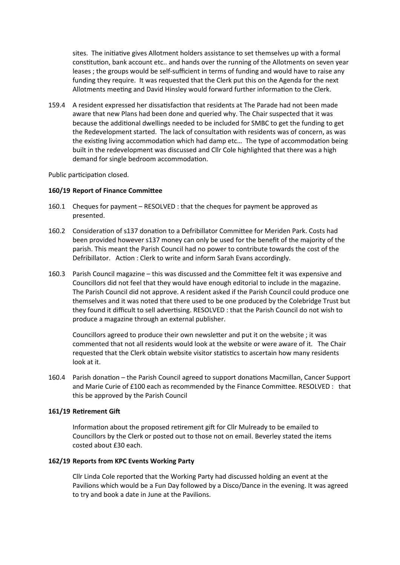sites. The initiative gives Allotment holders assistance to set themselves up with a formal constitution, bank account etc.. and hands over the running of the Allotments on seven year leases ; the groups would be self-sufficient in terms of funding and would have to raise any funding they require. It was requested that the Clerk put this on the Agenda for the next Allotments meeting and David Hinsley would forward further information to the Clerk.

159.4 A resident expressed her dissatisfaction that residents at The Parade had not been made aware that new Plans had been done and queried why. The Chair suspected that it was because the additional dwellings needed to be included for SMBC to get the funding to get the Redevelopment started. The lack of consultation with residents was of concern, as was the existing living accommodation which had damp etc… The type of accommodation being built in the redevelopment was discussed and Cllr Cole highlighted that there was a high demand for single bedroom accommodation.

Public participation closed.

# **160/19 Report of Finance Committee**

- 160.1 Cheques for payment RESOLVED : that the cheques for payment be approved as presented.
- 160.2 Consideration of s137 donation to a Defribillator Committee for Meriden Park. Costs had been provided however s137 money can only be used for the benefit of the majority of the parish. This meant the Parish Council had no power to contribute towards the cost of the Defribillator. Action : Clerk to write and inform Sarah Evans accordingly.
- 160.3 Parish Council magazine this was discussed and the Committee felt it was expensive and Councillors did not feel that they would have enough editorial to include in the magazine. The Parish Council did not approve. A resident asked if the Parish Council could produce one themselves and it was noted that there used to be one produced by the Colebridge Trust but they found it difficult to sell advertising. RESOLVED : that the Parish Council do not wish to produce a magazine through an external publisher.

Councillors agreed to produce their own newsletter and put it on the website ; it was commented that not all residents would look at the website or were aware of it. The Chair requested that the Clerk obtain website visitor statistics to ascertain how many residents look at it.

160.4 Parish donation – the Parish Council agreed to support donations Macmillan, Cancer Support and Marie Curie of £100 each as recommended by the Finance Committee. RESOLVED : that this be approved by the Parish Council

## **161/19 Retirement Gift**

Information about the proposed retirement gift for Cllr Mulready to be emailed to Councillors by the Clerk or posted out to those not on email. Beverley stated the items costed about £30 each.

## **162/19 Reports from KPC Events Working Party**

Cllr Linda Cole reported that the Working Party had discussed holding an event at the Pavilions which would be a Fun Day followed by a Disco/Dance in the evening. It was agreed to try and book a date in June at the Pavilions.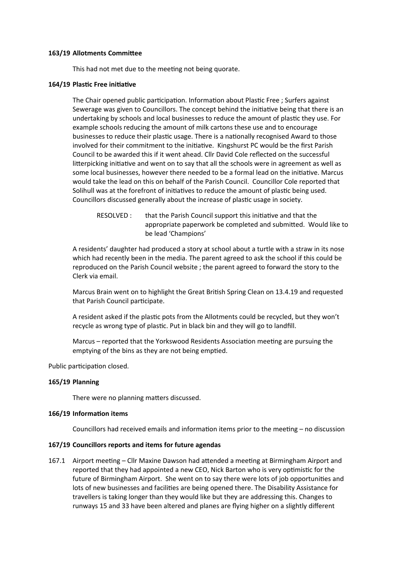#### **163/19 Allotments Committee**

This had not met due to the meeting not being quorate.

## **164/19 Plastic Free initiative**

The Chair opened public participation. Information about Plastic Free ; Surfers against Sewerage was given to Councillors. The concept behind the initiative being that there is an undertaking by schools and local businesses to reduce the amount of plastic they use. For example schools reducing the amount of milk cartons these use and to encourage businesses to reduce their plastic usage. There is a nationally recognised Award to those involved for their commitment to the initiative. Kingshurst PC would be the first Parish Council to be awarded this if it went ahead. Cllr David Cole reflected on the successful litterpicking initiative and went on to say that all the schools were in agreement as well as some local businesses, however there needed to be a formal lead on the initiative. Marcus would take the lead on this on behalf of the Parish Council. Councillor Cole reported that Solihull was at the forefront of initiatives to reduce the amount of plastic being used. Councillors discussed generally about the increase of plastic usage in society.

RESOLVED : that the Parish Council support this initiative and that the appropriate paperwork be completed and submitted. Would like to be lead 'Champions'

A residents' daughter had produced a story at school about a turtle with a straw in its nose which had recently been in the media. The parent agreed to ask the school if this could be reproduced on the Parish Council website ; the parent agreed to forward the story to the Clerk via email.

Marcus Brain went on to highlight the Great British Spring Clean on 13.4.19 and requested that Parish Council participate.

A resident asked if the plastic pots from the Allotments could be recycled, but they won't recycle as wrong type of plastic. Put in black bin and they will go to landfill.

Marcus – reported that the Yorkswood Residents Association meeting are pursuing the emptying of the bins as they are not being emptied.

Public participation closed.

# **165/19 Planning**

There were no planning matters discussed.

#### **166/19 Information items**

Councillors had received emails and information items prior to the meeting – no discussion

#### **167/19 Councillors reports and items for future agendas**

167.1 Airport meeting – Cllr Maxine Dawson had attended a meeting at Birmingham Airport and reported that they had appointed a new CEO, Nick Barton who is very optimistic for the future of Birmingham Airport. She went on to say there were lots of job opportunities and lots of new businesses and facilities are being opened there. The Disability Assistance for travellers is taking longer than they would like but they are addressing this. Changes to runways 15 and 33 have been altered and planes are flying higher on a slightly different